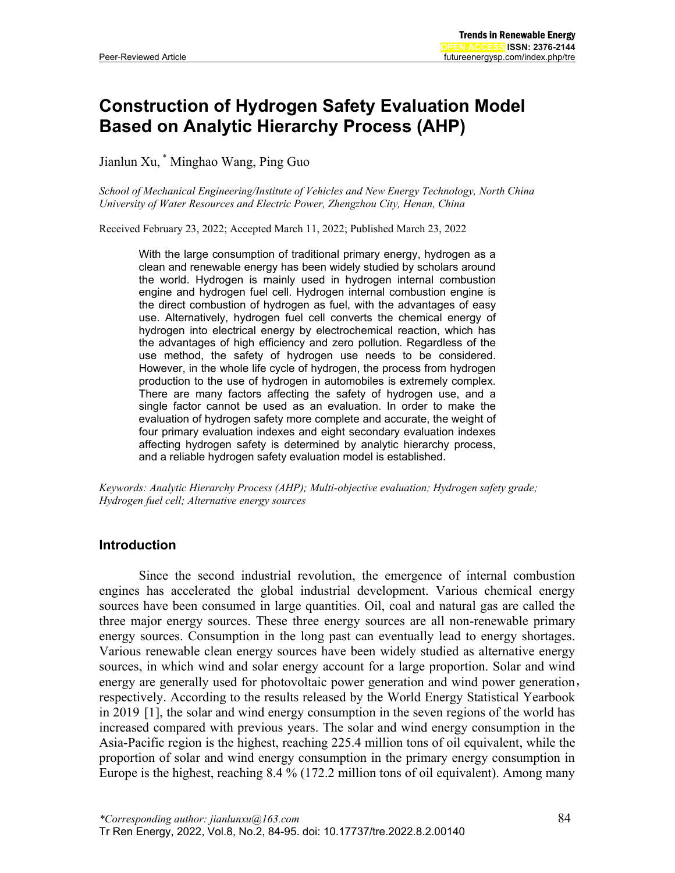# **Construction of Hydrogen Safety Evaluation Model Based on Analytic Hierarchy Process (AHP)**

Jianlun Xu, \* Minghao Wang, Ping Guo

*School of Mechanical Engineering/Institute of Vehicles and New Energy Technology, North China University of Water Resources and Electric Power, Zhengzhou City, Henan, China*

Received February 23, 2022; Accepted March 11, 2022; Published March 23, 2022

With the large consumption of traditional primary energy, hydrogen as a clean and renewable energy has been widely studied by scholars around the world. Hydrogen is mainly used in hydrogen internal combustion engine and hydrogen fuel cell. Hydrogen internal combustion engine is the direct combustion of hydrogen as fuel, with the advantages of easy use. Alternatively, hydrogen fuel cell converts the chemical energy of hydrogen into electrical energy by electrochemical reaction, which has the advantages of high efficiency and zero pollution. Regardless of the use method, the safety of hydrogen use needs to be considered. However, in the whole life cycle of hydrogen, the process from hydrogen production to the use of hydrogen in automobiles is extremely complex. There are many factors affecting the safety of hydrogen use, and a single factor cannot be used as an evaluation. In order to make the evaluation of hydrogen safety more complete and accurate, the weight of four primary evaluation indexes and eight secondary evaluation indexes affecting hydrogen safety is determined by analytic hierarchy process, and a reliable hydrogen safety evaluation model is established.

*Keywords: Analytic Hierarchy Process (AHP); Multi-objective evaluation; Hydrogen safety grade; Hydrogen fuel cell; Alternative energy sources*

### **Introduction**

Since the second industrial revolution, the emergence of internal combustion engines has accelerated the global industrial development. Various chemical energy sources have been consumed in large quantities. Oil, coal and natural gas are called the three major energy sources. These three energy sources are all non-renewable primary energy sources. Consumption in the long past can eventually lead to energy shortages. Various renewable clean energy sources have been widely studied as alternative energy sources, in which wind and solar energy account for a large proportion. Solar and wind energy are generally used for photovoltaic power generation and wind power generation, respectively. According to the results released by the World Energy Statistical Yearbook in 2019 [1], the solar and wind energy consumption in the seven regions of the world has increased compared with previous years. The solar and wind energy consumption in the Asia-Pacific region is the highest, reaching 225.4 million tons of oil equivalent, while the proportion of solar and wind energy consumption in the primary energy consumption in Europe is the highest, reaching 8.4 % (172.2 million tons of oil equivalent). Among many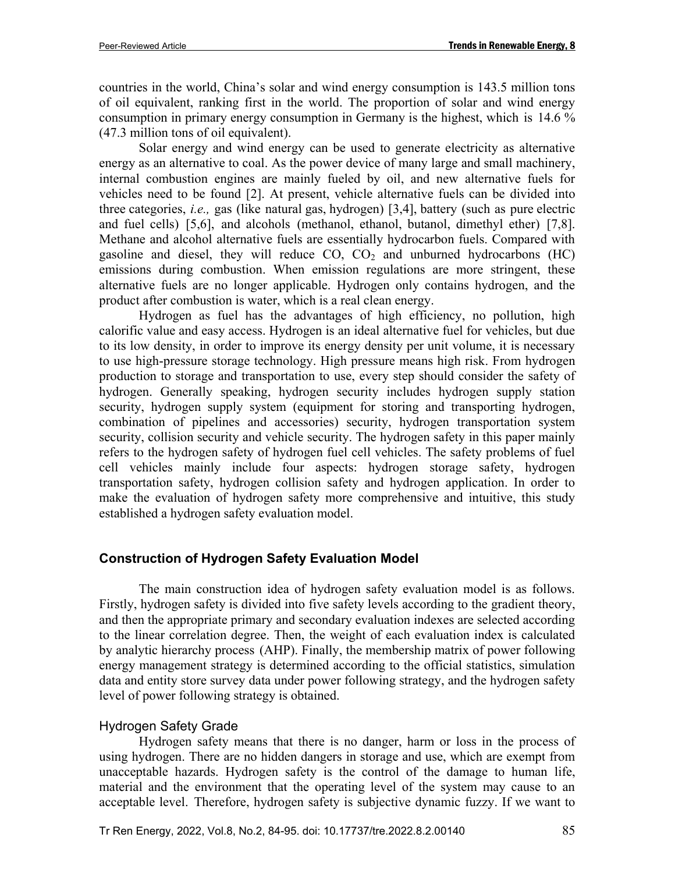countries in the world, China's solar and wind energy consumption is 143.5 million tons of oil equivalent, ranking first in the world. The proportion of solar and wind energy consumption in primary energy consumption in Germany is the highest, which is 14.6 % (47.3 million tons of oil equivalent).

Solar energy and wind energy can be used to generate electricity as alternative energy as an alternative to coal. As the power device of many large and small machinery, internal combustion engines are mainly fueled by oil, and new alternative fuels for vehicles need to be found [2]. At present, vehicle alternative fuels can be divided into three categories, *i.e.,* gas (like natural gas, hydrogen) [3,4], battery (such as pure electric and fuel cells) [5,6], and alcohols (methanol, ethanol, butanol, dimethyl ether) [7,8]. Methane and alcohol alternative fuels are essentially hydrocarbon fuels. Compared with gasoline and diesel, they will reduce  $CO$ ,  $CO<sub>2</sub>$  and unburned hydrocarbons (HC) emissions during combustion. When emission regulations are more stringent, these alternative fuels are no longer applicable. Hydrogen only contains hydrogen, and the product after combustion is water, which is a real clean energy.

Hydrogen as fuel has the advantages of high efficiency, no pollution, high calorific value and easy access. Hydrogen is an ideal alternative fuel for vehicles, but due to its low density, in order to improve its energy density per unit volume, it is necessary to use high-pressure storage technology. High pressure means high risk. From hydrogen production to storage and transportation to use, every step should consider the safety of hydrogen. Generally speaking, hydrogen security includes hydrogen supply station security, hydrogen supply system (equipment for storing and transporting hydrogen, combination of pipelines and accessories) security, hydrogen transportation system security, collision security and vehicle security. The hydrogen safety in this paper mainly refers to the hydrogen safety of hydrogen fuel cell vehicles. The safety problems of fuel cell vehicles mainly include four aspects: hydrogen storage safety, hydrogen transportation safety, hydrogen collision safety and hydrogen application. In order to make the evaluation of hydrogen safety more comprehensive and intuitive, this study established a hydrogen safety evaluation model.

### **Construction of Hydrogen Safety Evaluation Model**

The main construction idea of hydrogen safety evaluation model is as follows. Firstly, hydrogen safety is divided into five safety levels according to the gradient theory, and then the appropriate primary and secondary evaluation indexes are selected according to the linear correlation degree. Then, the weight of each evaluation index is calculated by analytic hierarchy process (AHP). Finally, the membership matrix of power following energy management strategy is determined according to the official statistics, simulation data and entity store survey data under power following strategy, and the hydrogen safety level of power following strategy is obtained.

### Hydrogen Safety Grade

Hydrogen safety means that there is no danger, harm or loss in the process of using hydrogen. There are no hidden dangers in storage and use, which are exempt from unacceptable hazards. Hydrogen safety is the control of the damage to human life, material and the environment that the operating level of the system may cause to an acceptable level. Therefore, hydrogen safety is subjective dynamic fuzzy. If we want to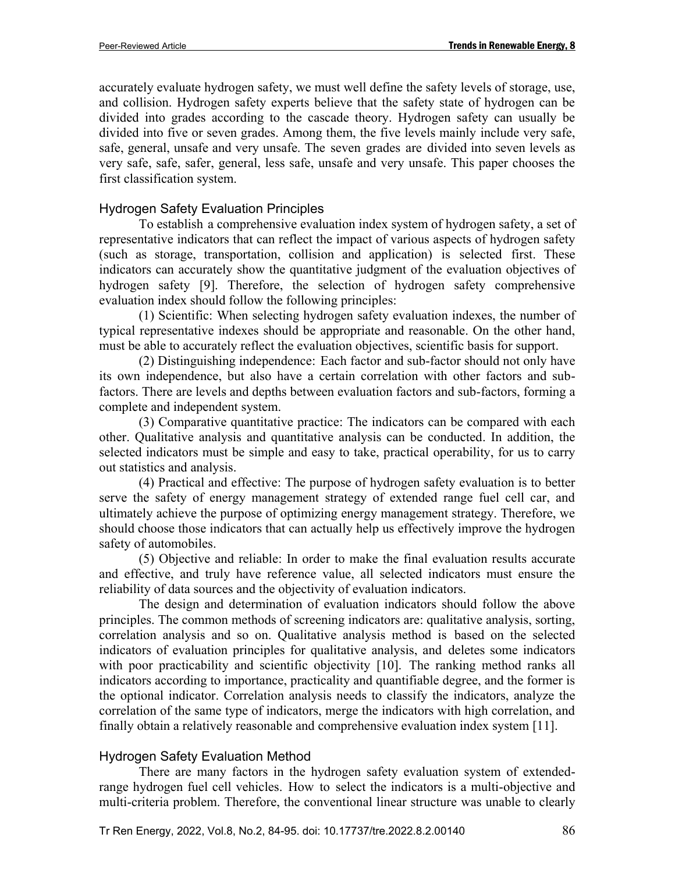accurately evaluate hydrogen safety, we must well define the safety levels of storage, use, and collision. Hydrogen safety experts believe that the safety state of hydrogen can be divided into grades according to the cascade theory. Hydrogen safety can usually be divided into five or seven grades. Among them, the five levels mainly include very safe, safe, general, unsafe and very unsafe. The seven grades are divided into seven levels as very safe, safe, safer, general, less safe, unsafe and very unsafe. This paper chooses the first classification system.

#### Hydrogen Safety Evaluation Principles

To establish a comprehensive evaluation index system of hydrogen safety, a set of representative indicators that can reflect the impact of various aspects of hydrogen safety (such as storage, transportation, collision and application) is selected first. These indicators can accurately show the quantitative judgment of the evaluation objectives of hydrogen safety [9]. Therefore, the selection of hydrogen safety comprehensive evaluation index should follow the following principles:

(1) Scientific: When selecting hydrogen safety evaluation indexes, the number of typical representative indexes should be appropriate and reasonable. On the other hand, must be able to accurately reflect the evaluation objectives, scientific basis for support.

(2) Distinguishing independence: Each factor and sub-factor should not only have its own independence, but also have a certain correlation with other factors and subfactors. There are levels and depths between evaluation factors and sub-factors, forming a complete and independent system.

(3) Comparative quantitative practice: The indicators can be compared with each other. Qualitative analysis and quantitative analysis can be conducted. In addition, the selected indicators must be simple and easy to take, practical operability, for us to carry out statistics and analysis.

(4) Practical and effective: The purpose of hydrogen safety evaluation is to better serve the safety of energy management strategy of extended range fuel cell car, and ultimately achieve the purpose of optimizing energy management strategy. Therefore, we should choose those indicators that can actually help us effectively improve the hydrogen safety of automobiles.

(5) Objective and reliable: In order to make the final evaluation results accurate and effective, and truly have reference value, all selected indicators must ensure the reliability of data sources and the objectivity of evaluation indicators.

The design and determination of evaluation indicators should follow the above principles. The common methods of screening indicators are: qualitative analysis, sorting, correlation analysis and so on. Qualitative analysis method is based on the selected indicators of evaluation principles for qualitative analysis, and deletes some indicators with poor practicability and scientific objectivity [10]. The ranking method ranks all indicators according to importance, practicality and quantifiable degree, and the former is the optional indicator. Correlation analysis needs to classify the indicators, analyze the correlation of the same type of indicators, merge the indicators with high correlation, and finally obtain a relatively reasonable and comprehensive evaluation index system [11].

### Hydrogen Safety Evaluation Method

There are many factors in the hydrogen safety evaluation system of extendedrange hydrogen fuel cell vehicles. How to select the indicators is a multi-objective and multi-criteria problem. Therefore, the conventional linear structure was unable to clearly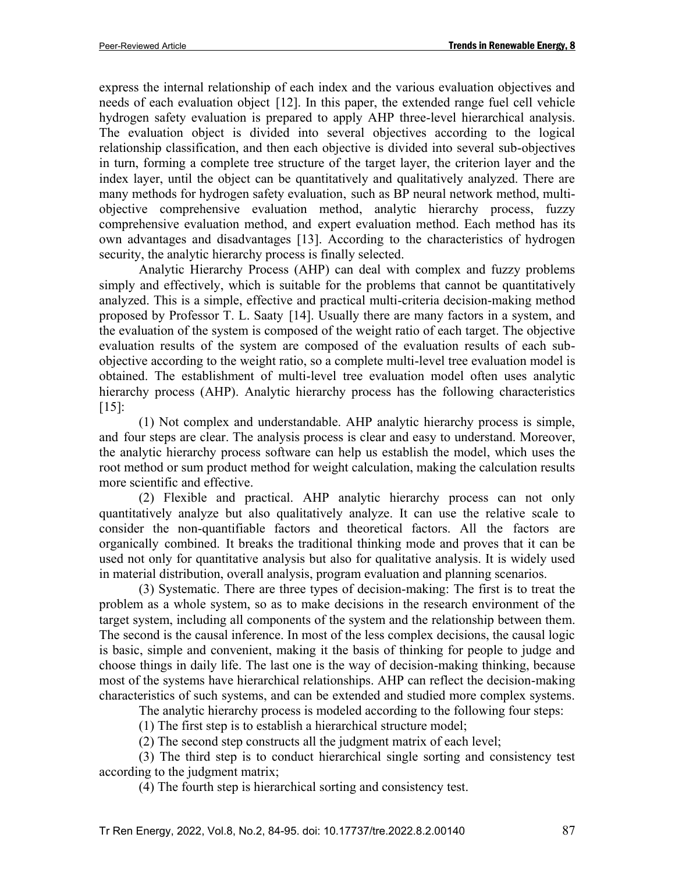express the internal relationship of each index and the various evaluation objectives and needs of each evaluation object [12]. In this paper, the extended range fuel cell vehicle hydrogen safety evaluation is prepared to apply AHP three-level hierarchical analysis. The evaluation object is divided into several objectives according to the logical relationship classification, and then each objective is divided into several sub-objectives in turn, forming a complete tree structure of the target layer, the criterion layer and the index layer, until the object can be quantitatively and qualitatively analyzed. There are many methods for hydrogen safety evaluation, such as BP neural network method, multiobjective comprehensive evaluation method, analytic hierarchy process, fuzzy comprehensive evaluation method, and expert evaluation method. Each method has its own advantages and disadvantages [13]. According to the characteristics of hydrogen security, the analytic hierarchy process is finally selected.

Analytic Hierarchy Process (AHP) can deal with complex and fuzzy problems simply and effectively, which is suitable for the problems that cannot be quantitatively analyzed. This is a simple, effective and practical multi-criteria decision-making method proposed by Professor T. L. Saaty [14]. Usually there are many factors in a system, and the evaluation of the system is composed of the weight ratio of each target. The objective evaluation results of the system are composed of the evaluation results of each subobjective according to the weight ratio, so a complete multi-level tree evaluation model is obtained. The establishment of multi-level tree evaluation model often uses analytic hierarchy process (AHP). Analytic hierarchy process has the following characteristics [15]:

(1) Not complex and understandable. AHP analytic hierarchy process is simple, and four steps are clear. The analysis process is clear and easy to understand. Moreover, the analytic hierarchy process software can help us establish the model, which uses the root method or sum product method for weight calculation, making the calculation results more scientific and effective.

(2) Flexible and practical. AHP analytic hierarchy process can not only quantitatively analyze but also qualitatively analyze. It can use the relative scale to consider the non-quantifiable factors and theoretical factors. All the factors are organically combined. It breaks the traditional thinking mode and proves that it can be used not only for quantitative analysis but also for qualitative analysis. It is widely used in material distribution, overall analysis, program evaluation and planning scenarios.

(3) Systematic. There are three types of decision-making: The first is to treat the problem as a whole system, so as to make decisions in the research environment of the target system, including all components of the system and the relationship between them. The second is the causal inference. In most of the less complex decisions, the causal logic is basic, simple and convenient, making it the basis of thinking for people to judge and choose things in daily life. The last one is the way of decision-making thinking, because most of the systems have hierarchical relationships. AHP can reflect the decision-making characteristics of such systems, and can be extended and studied more complex systems.

The analytic hierarchy process is modeled according to the following four steps:

(1) The first step is to establish a hierarchical structure model;

(2) The second step constructs all the judgment matrix of each level;

(3) The third step is to conduct hierarchical single sorting and consistency test according to the judgment matrix;

(4) The fourth step is hierarchical sorting and consistency test.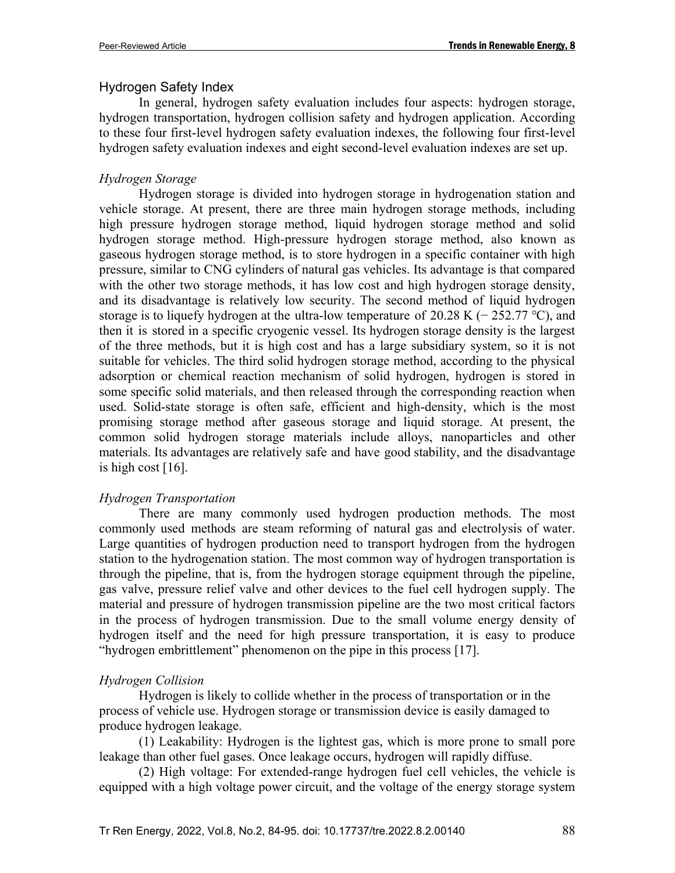### Hydrogen Safety Index

In general, hydrogen safety evaluation includes four aspects: hydrogen storage, hydrogen transportation, hydrogen collision safety and hydrogen application. According to these four first-level hydrogen safety evaluation indexes, the following four first-level hydrogen safety evaluation indexes and eight second-level evaluation indexes are set up.

### *Hydrogen Storage*

Hydrogen storage is divided into hydrogen storage in hydrogenation station and vehicle storage. At present, there are three main hydrogen storage methods, including high pressure hydrogen storage method, liquid hydrogen storage method and solid hydrogen storage method. High-pressure hydrogen storage method, also known as gaseous hydrogen storage method, is to store hydrogen in a specific container with high pressure, similar to CNG cylinders of natural gas vehicles. Its advantage is that compared with the other two storage methods, it has low cost and high hydrogen storage density, and its disadvantage is relatively low security. The second method of liquid hydrogen storage is to liquefy hydrogen at the ultra-low temperature of 20.28 K ( $-$  252.77 °C), and then it is stored in a specific cryogenic vessel. Its hydrogen storage density is the largest of the three methods, but it is high cost and has a large subsidiary system, so it is not suitable for vehicles. The third solid hydrogen storage method, according to the physical adsorption or chemical reaction mechanism of solid hydrogen, hydrogen is stored in some specific solid materials, and then released through the corresponding reaction when used. Solid-state storage is often safe, efficient and high-density, which is the most promising storage method after gaseous storage and liquid storage. At present, the common solid hydrogen storage materials include alloys, nanoparticles and other materials. Its advantages are relatively safe and have good stability, and the disadvantage is high cost  $[16]$ .

### *Hydrogen Transportation*

There are many commonly used hydrogen production methods. The most commonly used methods are steam reforming of natural gas and electrolysis of water. Large quantities of hydrogen production need to transport hydrogen from the hydrogen station to the hydrogenation station. The most common way of hydrogen transportation is through the pipeline, that is, from the hydrogen storage equipment through the pipeline, gas valve, pressure relief valve and other devices to the fuel cell hydrogen supply. The material and pressure of hydrogen transmission pipeline are the two most critical factors in the process of hydrogen transmission. Due to the small volume energy density of hydrogen itself and the need for high pressure transportation, it is easy to produce "hydrogen embrittlement" phenomenon on the pipe in this process [17].

### *Hydrogen Collision*

Hydrogen is likely to collide whether in the process of transportation or in the process of vehicle use. Hydrogen storage or transmission device is easily damaged to produce hydrogen leakage.

(1) Leakability: Hydrogen is the lightest gas, which is more prone to small pore leakage than other fuel gases. Once leakage occurs, hydrogen will rapidly diffuse.

(2) High voltage: For extended-range hydrogen fuel cell vehicles, the vehicle is equipped with a high voltage power circuit, and the voltage of the energy storage system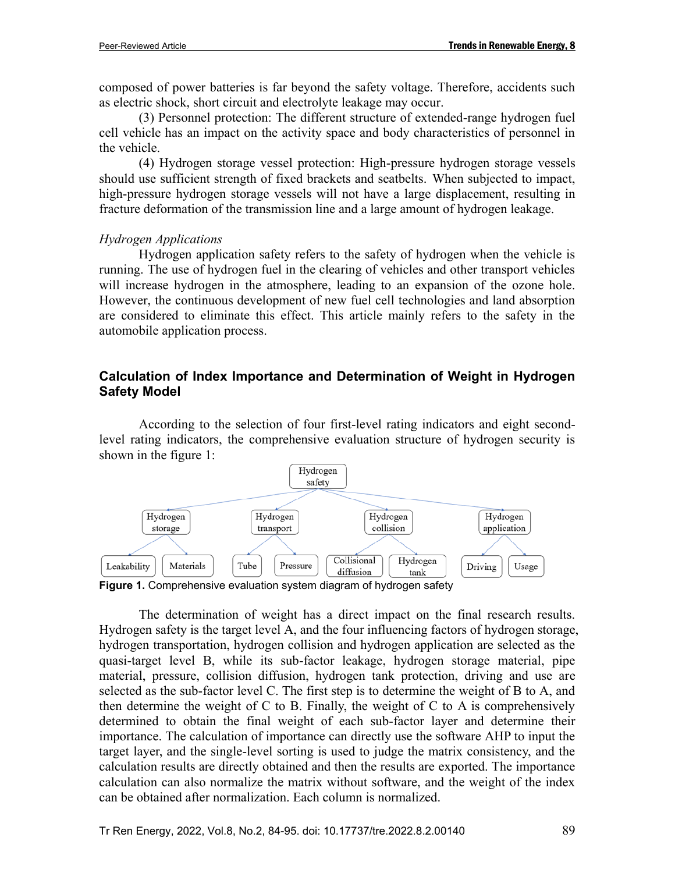composed of power batteries is far beyond the safety voltage. Therefore, accidents such as electric shock, short circuit and electrolyte leakage may occur.

(3) Personnel protection: The different structure of extended-range hydrogen fuel cell vehicle has an impact on the activity space and body characteristics of personnel in the vehicle.

(4) Hydrogen storage vessel protection: High-pressure hydrogen storage vessels should use sufficient strength of fixed brackets and seatbelts. When subjected to impact, high-pressure hydrogen storage vessels will not have a large displacement, resulting in fracture deformation of the transmission line and a large amount of hydrogen leakage.

#### *Hydrogen Applications*

Hydrogen application safety refers to the safety of hydrogen when the vehicle is running. The use of hydrogen fuel in the clearing of vehicles and other transport vehicles will increase hydrogen in the atmosphere, leading to an expansion of the ozone hole. However, the continuous development of new fuel cell technologies and land absorption are considered to eliminate this effect. This article mainly refers to the safety in the automobile application process.

### **Calculation of Index Importance and Determination of Weight in Hydrogen Safety Model**

According to the selection of four first-level rating indicators and eight secondlevel rating indicators, the comprehensive evaluation structure of hydrogen security is shown in the figure 1:



The determination of weight has a direct impact on the final research results. Hydrogen safety is the target level A, and the four influencing factors of hydrogen storage, hydrogen transportation, hydrogen collision and hydrogen application are selected as the quasi-target level B, while its sub-factor leakage, hydrogen storage material, pipe material, pressure, collision diffusion, hydrogen tank protection, driving and use are selected as the sub-factor level C. The first step is to determine the weight of B to A, and then determine the weight of C to B. Finally, the weight of C to A is comprehensively determined to obtain the final weight of each sub-factor layer and determine their importance. The calculation of importance can directly use the software AHP to input the target layer, and the single-level sorting is used to judge the matrix consistency, and the calculation results are directly obtained and then the results are exported. The importance calculation can also normalize the matrix without software, and the weight of the index can be obtained after normalization. Each column is normalized.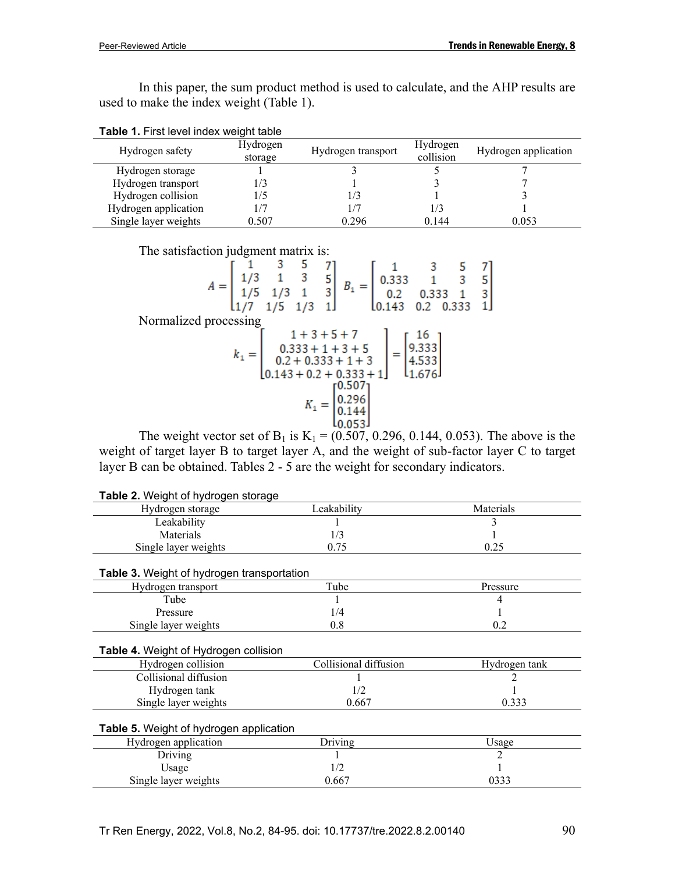In this paper, the sum product method is used to calculate, and the AHP results are used to make the index weight (Table 1).

| Table 1. First level index weight table |
|-----------------------------------------|
|-----------------------------------------|

| Hydrogen safety      | Hydrogen<br>storage | Hydrogen transport | Hydrogen<br>collision | Hydrogen application |
|----------------------|---------------------|--------------------|-----------------------|----------------------|
| Hydrogen storage     |                     |                    |                       |                      |
| Hydrogen transport   | /3                  |                    |                       |                      |
| Hydrogen collision   |                     | 1/3                |                       |                      |
| Hydrogen application |                     |                    | 1/3                   |                      |
| Single layer weights | 0.507               | 0.296              | 0.144                 | 0.053                |

The satisfaction judgment matrix is:

|                       |  |  | $A = \begin{bmatrix} 1 & 3 & 5 & 7 \\ 1/3 & 1 & 3 & 5 \\ 1/5 & 1/3 & 1 & 3 \\ 1/7 & 1/5 & 1/3 & 1 \end{bmatrix}$ $B_1 =$ | L <sub>0.143</sub>                                                                                                                                             | $\left[\begin{array}{ccc} 1 & 3 & 5 & 7 \ 0.333 & 1 & 3 & 5 \ 0.2 & 0.333 & 1 & 3 \ 0.143 & 0.2 & 0.333 & 1 \end{array}\right]$ |  |
|-----------------------|--|--|--------------------------------------------------------------------------------------------------------------------------|----------------------------------------------------------------------------------------------------------------------------------------------------------------|---------------------------------------------------------------------------------------------------------------------------------|--|
| Normalized processing |  |  |                                                                                                                          |                                                                                                                                                                |                                                                                                                                 |  |
|                       |  |  | $1 + 3 + 5 + 7$                                                                                                          |                                                                                                                                                                |                                                                                                                                 |  |
|                       |  |  |                                                                                                                          | $k_1 = \begin{bmatrix} 0.333 + 1 + 3 + 5 \\ 0.2 + 0.333 + 1 + 3 \\ 0.143 + 0.2 + 0.333 + 1 \end{bmatrix} = \begin{bmatrix} 16 \\ 9.333 \\ 4.533 \end{bmatrix}$ |                                                                                                                                 |  |
|                       |  |  |                                                                                                                          |                                                                                                                                                                |                                                                                                                                 |  |
|                       |  |  |                                                                                                                          |                                                                                                                                                                |                                                                                                                                 |  |
|                       |  |  | г0.5071                                                                                                                  |                                                                                                                                                                |                                                                                                                                 |  |
|                       |  |  |                                                                                                                          |                                                                                                                                                                |                                                                                                                                 |  |
|                       |  |  |                                                                                                                          |                                                                                                                                                                |                                                                                                                                 |  |
|                       |  |  |                                                                                                                          |                                                                                                                                                                |                                                                                                                                 |  |

The weight vector set of B<sub>1</sub> is K<sub>1</sub> = (0.507, 0.296, 0.144, 0.053). The above is the weight of target layer B to target layer A, and the weight of sub-factor layer C to target layer B can be obtained. Tables 2 - 5 are the weight for secondary indicators.

| <b>Table 2.</b> Weight of Hydrogen Storage        |                       |               |
|---------------------------------------------------|-----------------------|---------------|
| Hydrogen storage                                  | Leakability           | Materials     |
| Leakability                                       |                       |               |
| Materials                                         | 1/3                   |               |
| Single layer weights                              | 0.75                  | 0.25          |
| <b>Table 3.</b> Weight of hydrogen transportation |                       |               |
| Hydrogen transport                                | Tube                  | Pressure      |
| Tube                                              |                       | 4             |
|                                                   |                       |               |
| Pressure                                          | 1/4                   |               |
| Single layer weights                              | 0.8                   | 0.2           |
| Table 4. Weight of Hydrogen collision             |                       |               |
| Hydrogen collision                                | Collisional diffusion | Hydrogen tank |
| Collisional diffusion                             |                       |               |
| Hydrogen tank                                     | 1/2                   |               |
| Single layer weights                              | 0.667                 | 0.333         |
| Table 5. Weight of hydrogen application           |                       |               |
| Hydrogen application                              | <b>Driving</b>        | Usage         |
| Driving                                           |                       | 2             |
| Usage                                             | 1/2                   |               |
| Single layer weights                              | 0.667                 | 0333          |
|                                                   |                       |               |

**Table 2.** Weight of hydrogen storage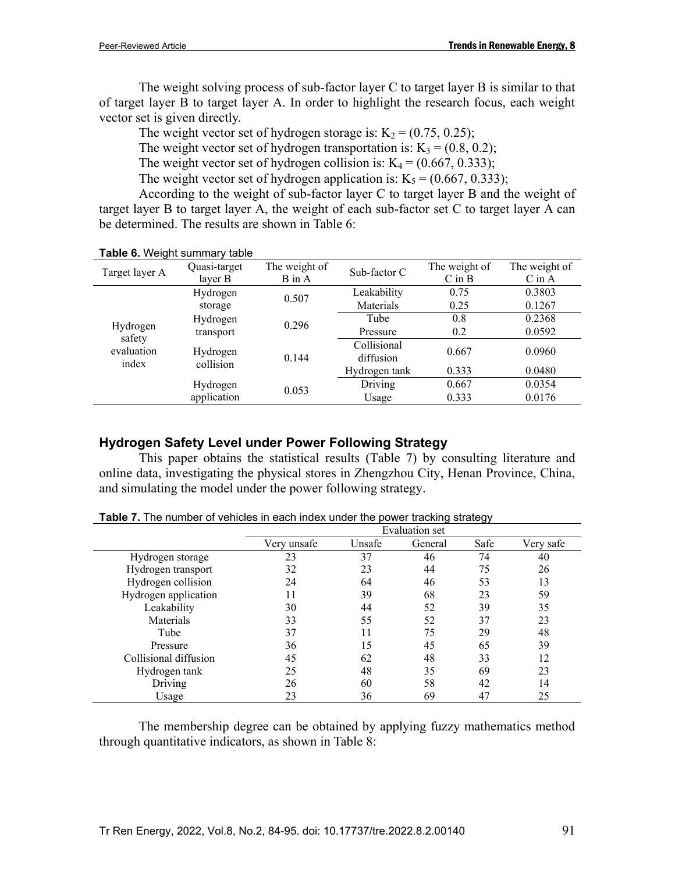The weight solving process of sub-factor layer C to target layer B is similar to that of target layer B to target layer A. In order to highlight the research focus, each weight vector set is given directly.

The weight vector set of hydrogen storage is:  $K_2 = (0.75, 0.25)$ ;

The weight vector set of hydrogen transportation is:  $K_3 = (0.8, 0.2)$ ;

The weight vector set of hydrogen collision is:  $K_4 = (0.667, 0.333)$ ;

The weight vector set of hydrogen application is:  $K_5 = (0.667, 0.333)$ ;

According to the weight of sub-factor layer C to target layer B and the weight of target layer B to target layer A, the weight of each sub-factor set C to target layer A can be determined. The results are shown in Table 6:

|                                           | <b>TUDIO 0.</b> TYOIGHT SUITHING Y TUDIO |                      |               |               |               |  |
|-------------------------------------------|------------------------------------------|----------------------|---------------|---------------|---------------|--|
| Target layer A                            | Quasi-target                             | The weight of        | Sub-factor C  | The weight of | The weight of |  |
|                                           | layer B                                  | $B$ in $A$           |               |               | $C$ in $A$    |  |
|                                           | Hydrogen                                 | Leakability<br>0.507 |               | 0.75          | 0.3803        |  |
|                                           | storage                                  |                      | Materials     | 0.25          | 0.1267        |  |
|                                           | Hydrogen                                 | 0.296                | Tube          | 0.8           | 0.2368        |  |
| Hydrogen<br>safety<br>evaluation<br>index | transport                                |                      | Pressure      | 0.2           | 0.0592        |  |
|                                           |                                          |                      | Collisional   | 0.667         | 0.0960        |  |
|                                           | Hydrogen<br>collision                    | 0.144                | diffusion     |               |               |  |
|                                           |                                          |                      | Hydrogen tank | 0.333         | 0.0480        |  |
|                                           | Hydrogen                                 |                      | Driving       | 0.667         | 0.0354        |  |
|                                           | application                              | 0.053                | Usage         | 0.333         | 0.0176        |  |
|                                           |                                          |                      |               |               |               |  |

#### **Table 6.** Weight summary table

### **Hydrogen Safety Level under Power Following Strategy**

This paper obtains the statistical results (Table 7) by consulting literature and online data, investigating the physical stores in Zhengzhou City, Henan Province, China, and simulating the model under the power following strategy.

|                       | Evaluation set |        |         |      |           |  |
|-----------------------|----------------|--------|---------|------|-----------|--|
|                       | Verv unsafe    | Unsafe | General | Safe | Very safe |  |
| Hydrogen storage      | 23             | 37     | 46      | 74   | 40        |  |
| Hydrogen transport    | 32             | 23     | 44      | 75   | 26        |  |
| Hydrogen collision    | 24             | 64     | 46      | 53   | 13        |  |
| Hydrogen application  | 11             | 39     | 68      | 23   | 59        |  |
| Leakability           | 30             | 44     | 52      | 39   | 35        |  |
| Materials             | 33             | 55     | 52      | 37   | 23        |  |
| Tube                  | 37             | 11     | 75      | 29   | 48        |  |
| Pressure              | 36             | 15     | 45      | 65   | 39        |  |
| Collisional diffusion | 45             | 62     | 48      | 33   | 12        |  |
| Hydrogen tank         | 25             | 48     | 35      | 69   | 23        |  |
| Driving               | 26             | 60     | 58      | 42   | 14        |  |
| Usage                 | 23             | 36     | 69      | 47   | 25        |  |

**Table 7.** The number of vehicles in each index under the power tracking strategy

The membership degree can be obtained by applying fuzzy mathematics method through quantitative indicators, as shown in Table 8: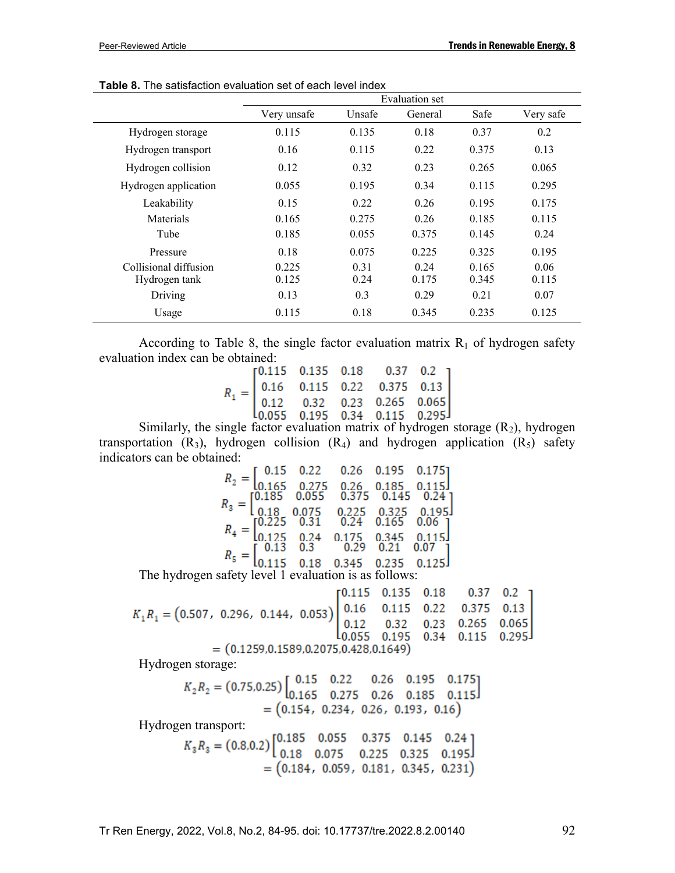|                       |             |        | Evaluation set |       |           |
|-----------------------|-------------|--------|----------------|-------|-----------|
|                       | Very unsafe | Unsafe | General        | Safe  | Very safe |
| Hydrogen storage      | 0.115       | 0.135  | 0.18           | 0.37  | 0.2       |
| Hydrogen transport    | 0.16        | 0.115  | 0.22           | 0.375 | 0.13      |
| Hydrogen collision    | 0.12        | 0.32   | 0.23           | 0.265 | 0.065     |
| Hydrogen application  | 0.055       | 0.195  | 0.34           | 0.115 | 0.295     |
| Leakability           | 0.15        | 0.22   | 0.26           | 0.195 | 0.175     |
| Materials             | 0.165       | 0.275  | 0.26           | 0.185 | 0.115     |
| Tube                  | 0.185       | 0.055  | 0.375          | 0.145 | 0.24      |
| Pressure              | 0.18        | 0.075  | 0.225          | 0.325 | 0.195     |
| Collisional diffusion | 0.225       | 0.31   | 0.24           | 0.165 | 0.06      |
| Hydrogen tank         | 0.125       | 0.24   | 0.175          | 0.345 | 0.115     |
| Driving               | 0.13        | 0.3    | 0.29           | 0.21  | 0.07      |
| Usage                 | 0.115       | 0.18   | 0.345          | 0.235 | 0.125     |

**Table 8.** The satisfaction evaluation set of each level index

According to Table 8, the single factor evaluation matrix  $R_1$  of hydrogen safety evaluation index can be obtained:

|  |  | $R_1 = \begin{bmatrix} 0.115 & 0.135 & 0.18 & 0.37 & 0.2 \\ 0.16 & 0.115 & 0.22 & 0.375 & 0.13 \\ 0.12 & 0.32 & 0.23 & 0.265 & 0.065 \\ 0.055 & 0.195 & 0.34 & 0.115 & 0.295 \end{bmatrix}$ |  |
|--|--|---------------------------------------------------------------------------------------------------------------------------------------------------------------------------------------------|--|
|  |  |                                                                                                                                                                                             |  |
|  |  |                                                                                                                                                                                             |  |

Similarly, the single factor evaluation matrix of hydrogen storage  $(R_2)$ , hydrogen transportation  $(R_3)$ , hydrogen collision  $(R_4)$  and hydrogen application  $(R_5)$  safety indicators can be obtained:

| 0.26 0.195 0<br>$\begin{array}{ccc}\n 0.26 & 0.195 & 0 \\  0.275 & 0.26 & 0.185 \\  0.055 & 0.375 & 0.1\n\end{array}$<br>18 0.075 0.225 0<br>0.24<br>[0.185]<br>0.24<br>[0.225]<br>0.175<br>0.24<br>0.345 | 0.15 |     |      |      | $0.175$ ] |  |
|-----------------------------------------------------------------------------------------------------------------------------------------------------------------------------------------------------------|------|-----|------|------|-----------|--|
|                                                                                                                                                                                                           |      |     |      |      |           |  |
|                                                                                                                                                                                                           |      |     |      |      |           |  |
|                                                                                                                                                                                                           | 0.13 | 0.3 | 0.29 | 0.21 | 0.07      |  |
| 0.345<br>0.235<br>0.18<br>safety level 1 evaluation is as follows:                                                                                                                                        |      |     |      |      |           |  |

The hydrogen safety level 1 evaluation is as follows:

|                                                                                                                                                                                             |  | $[0.115 \quad 0.135 \quad 0.18 \quad 0.37 \quad 0.2]$ |  |
|---------------------------------------------------------------------------------------------------------------------------------------------------------------------------------------------|--|-------------------------------------------------------|--|
| $K_1R_1 = (0.507, 0.296, 0.144, 0.053)$<br>$\begin{bmatrix} 0.16 & 0.115 & 0.22 & 0.375 & 0.13 \\ 0.12 & 0.32 & 0.23 & 0.265 & 0.065 \\ 0.055 & 0.195 & 0.34 & 0.115 & 0.295 \end{bmatrix}$ |  |                                                       |  |
|                                                                                                                                                                                             |  |                                                       |  |
|                                                                                                                                                                                             |  |                                                       |  |
| $(a + a + a + b + a + a + b + a + b + b)$                                                                                                                                                   |  |                                                       |  |

 $= (0.1259, 0.1589, 0.2075, 0.428, 0.1649)$ 

Hydrogen storage:

$$
K_2 R_2 = (0.75, 0.25) \begin{bmatrix} 0.15 & 0.22 & 0.26 & 0.195 & 0.175 \\ 0.165 & 0.275 & 0.26 & 0.185 & 0.115 \end{bmatrix}
$$
  
= (0.154, 0.234, 0.26, 0.193, 0.16)

Hydrogen transport:

$$
K_3 R_3 = (0.8, 0.2) \begin{bmatrix} 0.185 & 0.055 & 0.375 & 0.145 & 0.24 \\ 0.18 & 0.075 & 0.225 & 0.325 & 0.195 \end{bmatrix}
$$
  
= (0.184, 0.059, 0.181, 0.345, 0.231)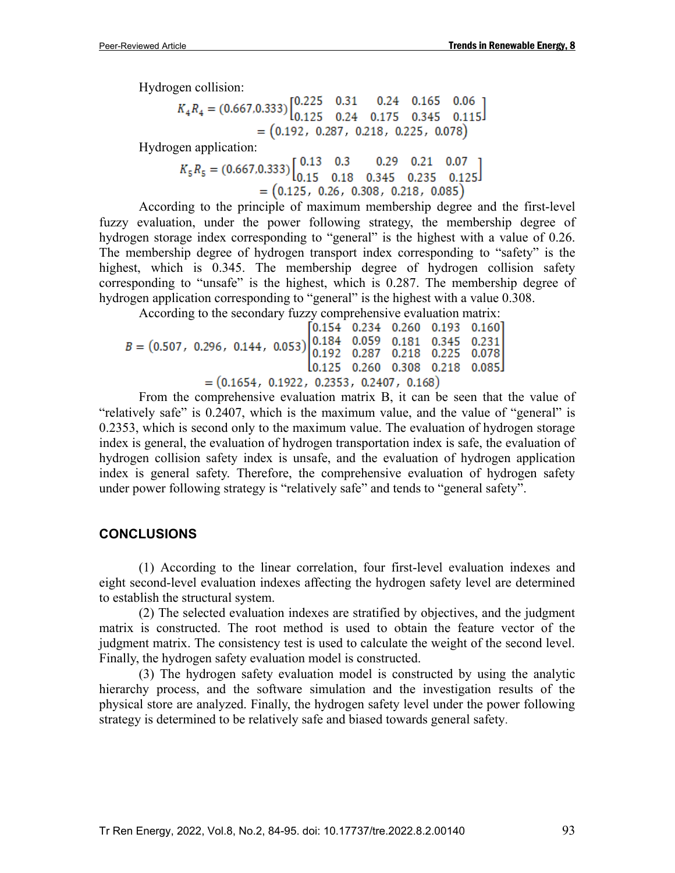Hydrogen collision:

$$
K_4R_4 = (0.667, 0.333) \begin{bmatrix} 0.225 & 0.31 & 0.24 & 0.165 & 0.06 \\ 0.125 & 0.24 & 0.175 & 0.345 & 0.115 \end{bmatrix}
$$
  
= (0.192, 0.287, 0.218, 0.225, 0.078)

Hydrogen application:<br> $K_5 R_5 = (0.667, 0.333) \begin{bmatrix} 0.13 & 0.3 & 0.29 & 0.21 & 0.07 \\ 0.15 & 0.18 & 0.345 & 0.235 & 0.125 \end{bmatrix}$  $=(0.125, 0.26, 0.308, 0.218, 0.085)$ 

According to the principle of maximum membership degree and the first-level fuzzy evaluation, under the power following strategy, the membership degree of hydrogen storage index corresponding to "general" is the highest with a value of 0.26. The membership degree of hydrogen transport index corresponding to "safety" is the highest, which is 0.345. The membership degree of hydrogen collision safety corresponding to "unsafe" is the highest, which is 0.287. The membership degree of hydrogen application corresponding to "general" is the highest with a value 0.308.

According to the secondary fuzzy comprehensive evaluation matrix:<br>[0.154 0.234 0.260 0.193 0.160]

 $B = (0.507, 0.296, 0.144, 0.053) \begin{bmatrix} 0.151 & 0.251 & 0.250 & 0.155 & 0.150 \\ 0.184 & 0.059 & 0.181 & 0.345 & 0.231 \\ 0.192 & 0.287 & 0.218 & 0.225 & 0.078 \end{bmatrix}$  $\begin{bmatrix} 0.125 & 0.260 & 0.308 & 0.218 & 0.085 \end{bmatrix}$  $=(0.1654, 0.1922, 0.2353, 0.2407, 0.168)$ 

From the comprehensive evaluation matrix B, it can be seen that the value of "relatively safe" is 0.2407, which is the maximum value, and the value of "general" is 0.2353, which is second only to the maximum value. The evaluation of hydrogen storage index is general, the evaluation of hydrogen transportation index is safe, the evaluation of hydrogen collision safety index is unsafe, and the evaluation of hydrogen application index is general safety. Therefore, the comprehensive evaluation of hydrogen safety under power following strategy is "relatively safe" and tends to "general safety".

### **CONCLUSIONS**

(1) According to the linear correlation, four first-level evaluation indexes and eight second-level evaluation indexes affecting the hydrogen safety level are determined to establish the structural system.

(2) The selected evaluation indexes are stratified by objectives, and the judgment matrix is constructed. The root method is used to obtain the feature vector of the judgment matrix. The consistency test is used to calculate the weight of the second level. Finally, the hydrogen safety evaluation model is constructed.

(3) The hydrogen safety evaluation model is constructed by using the analytic hierarchy process, and the software simulation and the investigation results of the physical store are analyzed. Finally, the hydrogen safety level under the power following strategy is determined to be relatively safe and biased towards general safety.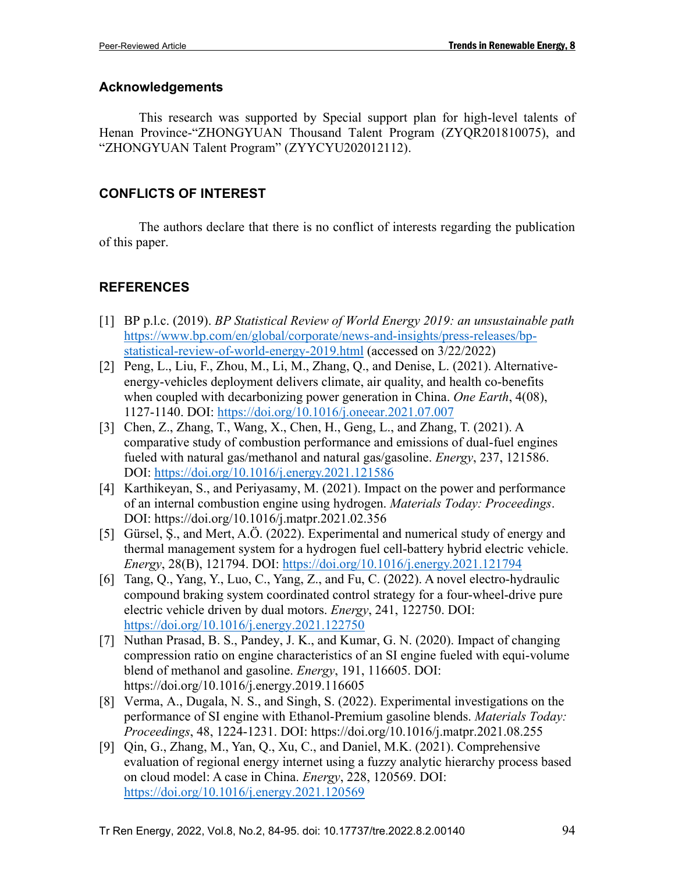### **Acknowledgements**

This research was supported by Special support plan for high-level talents of Henan Province-"ZHONGYUAN Thousand Talent Program (ZYQR201810075), and "ZHONGYUAN Talent Program" (ZYYCYU202012112).

### **CONFLICTS OF INTEREST**

The authors declare that there is no conflict of interests regarding the publication of this paper.

## **REFERENCES**

- [1] BP p.l.c. (2019). *BP Statistical Review of World Energy 2019: an unsustainable path* [https://www.bp.com/en/global/corporate/news-and-insights/press-releases/bp](https://www.bp.com/en/global/corporate/news-and-insights/press-releases/bp-statistical-review-of-world-energy-2019.html)[statistical-review-of-world-energy-2019.html](https://www.bp.com/en/global/corporate/news-and-insights/press-releases/bp-statistical-review-of-world-energy-2019.html) (accessed on 3/22/2022)
- [2] Peng, L., Liu, F., Zhou, M., Li, M., Zhang, Q., and Denise, L. (2021). Alternativeenergy-vehicles deployment delivers climate, air quality, and health co-benefits when coupled with decarbonizing power generation in China. *One Earth*, 4(08), 1127-1140. DOI:<https://doi.org/10.1016/j.oneear.2021.07.007>
- [3] Chen, Z., Zhang, T., Wang, X., Chen, H., Geng, L., and Zhang, T. (2021). A comparative study of combustion performance and emissions of dual-fuel engines fueled with natural gas/methanol and natural gas/gasoline. *Energy*, 237, 121586. DOI:<https://doi.org/10.1016/j.energy.2021.121586>
- [4] Karthikeyan, S., and Periyasamy, M. (2021). Impact on the power and performance of an internal combustion engine using hydrogen. *Materials Today: Proceedings*. DOI:<https://doi.org/10.1016/j.matpr.2021.02.356>
- [5] Gürsel, Ş., and Mert, A.Ö. (2022). Experimental and numerical study of energy and thermal management system for a hydrogen fuel cell-battery hybrid electric vehicle. *Energy*, 28(B), 121794. DOI:<https://doi.org/10.1016/j.energy.2021.121794>
- [6] Tang, Q., Yang, Y., Luo, C., Yang, Z., and Fu, C. (2022). A novel electro-hydraulic compound braking system coordinated control strategy for a four-wheel-drive pure electric vehicle driven by dual motors. *Energy*, 241, 122750. DOI: <https://doi.org/10.1016/j.energy.2021.122750>
- [7] Nuthan Prasad, B. S., Pandey, J. K., and Kumar, G. N. (2020). Impact of changing compression ratio on engine characteristics of an SI engine fueled with equi-volume blend of methanol and gasoline. *Energy*, 191, 116605. DOI: <https://doi.org/10.1016/j.energy.2019.116605>
- [8] Verma, A., Dugala, N. S., and Singh, S. (2022). Experimental investigations on the performance of SI engine with Ethanol-Premium gasoline blends. *Materials Today: Proceedings*, 48, 1224-1231. DOI:<https://doi.org/10.1016/j.matpr.2021.08.255>
- [9] Qin, G., Zhang, M., Yan, Q., Xu, C., and Daniel, M.K. (2021). Comprehensive evaluation of regional energy internet using a fuzzy analytic hierarchy process based on cloud model: A case in China. *Energy*, 228, 120569. DOI: <https://doi.org/10.1016/j.energy.2021.120569>